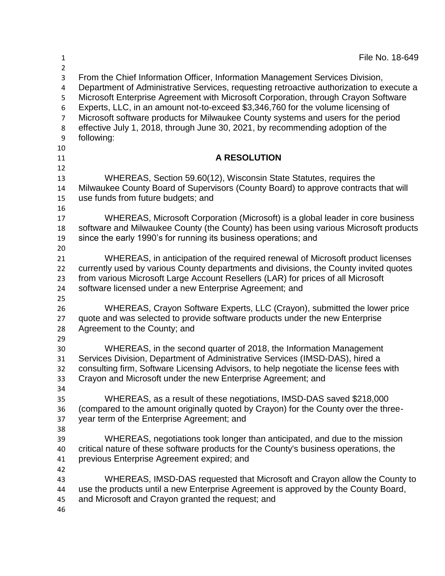| File No. 18-649                                                                                                                                                                                                                                                                                                                                                                                                                                                                                                                          |
|------------------------------------------------------------------------------------------------------------------------------------------------------------------------------------------------------------------------------------------------------------------------------------------------------------------------------------------------------------------------------------------------------------------------------------------------------------------------------------------------------------------------------------------|
| From the Chief Information Officer, Information Management Services Division,<br>Department of Administrative Services, requesting retroactive authorization to execute a<br>Microsoft Enterprise Agreement with Microsoft Corporation, through Crayon Software<br>Experts, LLC, in an amount not-to-exceed \$3,346,760 for the volume licensing of<br>Microsoft software products for Milwaukee County systems and users for the period<br>effective July 1, 2018, through June 30, 2021, by recommending adoption of the<br>following: |
| <b>A RESOLUTION</b>                                                                                                                                                                                                                                                                                                                                                                                                                                                                                                                      |
|                                                                                                                                                                                                                                                                                                                                                                                                                                                                                                                                          |
| WHEREAS, Section 59.60(12), Wisconsin State Statutes, requires the<br>Milwaukee County Board of Supervisors (County Board) to approve contracts that will<br>use funds from future budgets; and                                                                                                                                                                                                                                                                                                                                          |
| WHEREAS, Microsoft Corporation (Microsoft) is a global leader in core business                                                                                                                                                                                                                                                                                                                                                                                                                                                           |
| software and Milwaukee County (the County) has been using various Microsoft products                                                                                                                                                                                                                                                                                                                                                                                                                                                     |
| since the early 1990's for running its business operations; and                                                                                                                                                                                                                                                                                                                                                                                                                                                                          |
|                                                                                                                                                                                                                                                                                                                                                                                                                                                                                                                                          |
| WHEREAS, in anticipation of the required renewal of Microsoft product licenses                                                                                                                                                                                                                                                                                                                                                                                                                                                           |
| currently used by various County departments and divisions, the County invited quotes                                                                                                                                                                                                                                                                                                                                                                                                                                                    |
| from various Microsoft Large Account Resellers (LAR) for prices of all Microsoft                                                                                                                                                                                                                                                                                                                                                                                                                                                         |
| software licensed under a new Enterprise Agreement; and                                                                                                                                                                                                                                                                                                                                                                                                                                                                                  |
| WHEREAS, Crayon Software Experts, LLC (Crayon), submitted the lower price<br>quote and was selected to provide software products under the new Enterprise<br>Agreement to the County; and                                                                                                                                                                                                                                                                                                                                                |
| WHEREAS, in the second quarter of 2018, the Information Management                                                                                                                                                                                                                                                                                                                                                                                                                                                                       |
| Services Division, Department of Administrative Services (IMSD-DAS), hired a                                                                                                                                                                                                                                                                                                                                                                                                                                                             |
| consulting firm, Software Licensing Advisors, to help negotiate the license fees with                                                                                                                                                                                                                                                                                                                                                                                                                                                    |
| Crayon and Microsoft under the new Enterprise Agreement; and                                                                                                                                                                                                                                                                                                                                                                                                                                                                             |
|                                                                                                                                                                                                                                                                                                                                                                                                                                                                                                                                          |
| WHEREAS, as a result of these negotiations, IMSD-DAS saved \$218,000                                                                                                                                                                                                                                                                                                                                                                                                                                                                     |
| (compared to the amount originally quoted by Crayon) for the County over the three-                                                                                                                                                                                                                                                                                                                                                                                                                                                      |
| year term of the Enterprise Agreement; and                                                                                                                                                                                                                                                                                                                                                                                                                                                                                               |
|                                                                                                                                                                                                                                                                                                                                                                                                                                                                                                                                          |
| WHEREAS, negotiations took longer than anticipated, and due to the mission<br>critical nature of these software products for the County's business operations, the                                                                                                                                                                                                                                                                                                                                                                       |
| previous Enterprise Agreement expired; and                                                                                                                                                                                                                                                                                                                                                                                                                                                                                               |
|                                                                                                                                                                                                                                                                                                                                                                                                                                                                                                                                          |
| WHEREAS, IMSD-DAS requested that Microsoft and Crayon allow the County to                                                                                                                                                                                                                                                                                                                                                                                                                                                                |
| use the products until a new Enterprise Agreement is approved by the County Board,                                                                                                                                                                                                                                                                                                                                                                                                                                                       |
| and Microsoft and Crayon granted the request; and                                                                                                                                                                                                                                                                                                                                                                                                                                                                                        |
|                                                                                                                                                                                                                                                                                                                                                                                                                                                                                                                                          |